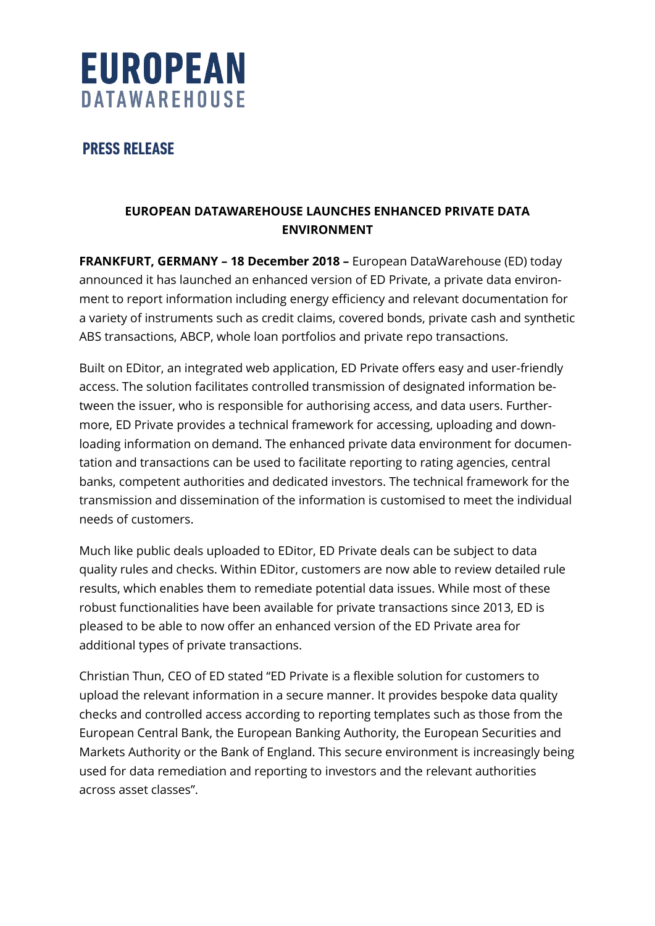

## **PRESS RELEASE**

## **EUROPEAN DATAWAREHOUSE LAUNCHES ENHANCED PRIVATE DATA ENVIRONMENT**

**FRANKFURT, GERMANY – 18 December 2018 –** European DataWarehouse (ED) today announced it has launched an enhanced version of ED Private, a private data environment to report information including energy efficiency and relevant documentation for a variety of instruments such as credit claims, covered bonds, private cash and synthetic ABS transactions, ABCP, whole loan portfolios and private repo transactions.

Built on EDitor, an integrated web application, ED Private offers easy and user-friendly access. The solution facilitates controlled transmission of designated information between the issuer, who is responsible for authorising access, and data users. Furthermore, ED Private provides a technical framework for accessing, uploading and downloading information on demand. The enhanced private data environment for documentation and transactions can be used to facilitate reporting to rating agencies, central banks, competent authorities and dedicated investors. The technical framework for the transmission and dissemination of the information is customised to meet the individual needs of customers.

Much like public deals uploaded to EDitor, ED Private deals can be subject to data quality rules and checks. Within EDitor, customers are now able to review detailed rule results, which enables them to remediate potential data issues. While most of these robust functionalities have been available for private transactions since 2013, ED is pleased to be able to now offer an enhanced version of the ED Private area for additional types of private transactions.

Christian Thun, CEO of ED stated "ED Private is a flexible solution for customers to upload the relevant information in a secure manner. It provides bespoke data quality checks and controlled access according to reporting templates such as those from the European Central Bank, the European Banking Authority, the European Securities and Markets Authority or the Bank of England. This secure environment is increasingly being used for data remediation and reporting to investors and the relevant authorities across asset classes".